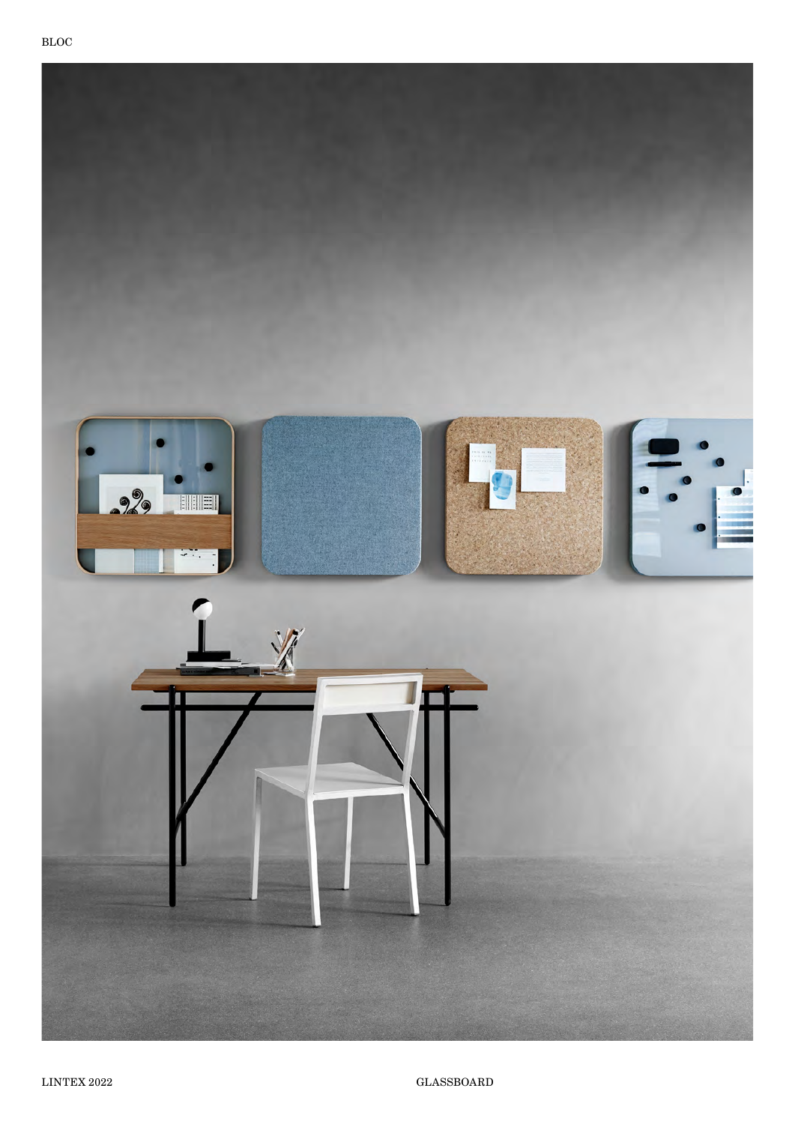